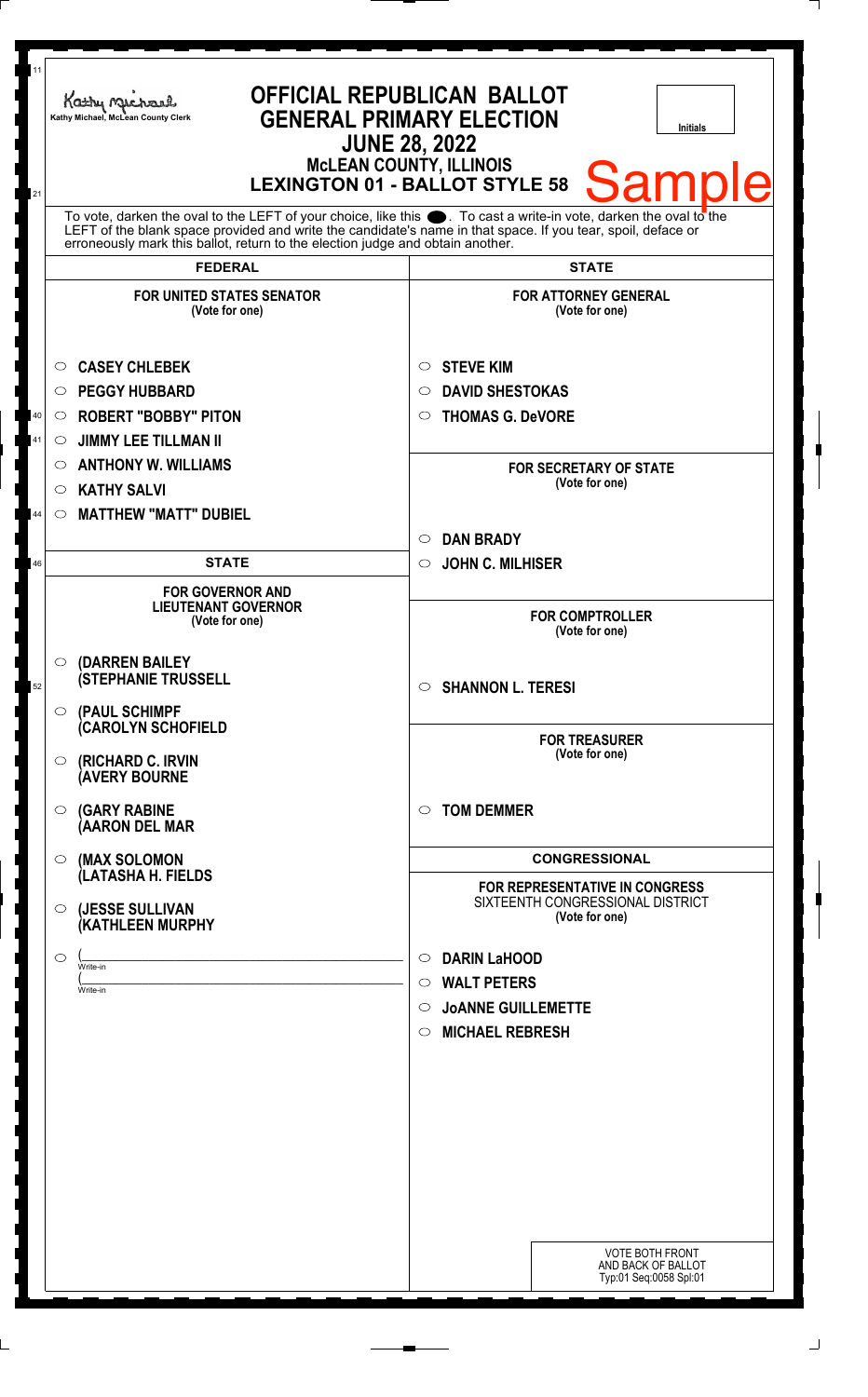| 11<br>21 | <b>OFFICIAL REPUBLICAN BALLOT</b><br>Kathy Michael<br><b>GENERAL PRIMARY ELECTION</b><br>Kathy Michael, McLean County Clerk<br>Initials<br><b>JUNE 28, 2022</b><br><b>McLEAN COUNTY, ILLINOIS</b><br><b>Sample</b><br><b>LEXINGTON 01 - BALLOT STYLE 58</b>                                                            |                                                                                      |
|----------|------------------------------------------------------------------------------------------------------------------------------------------------------------------------------------------------------------------------------------------------------------------------------------------------------------------------|--------------------------------------------------------------------------------------|
|          | To vote, darken the oval to the LEFT of your choice, like this $\bullet$ . To cast a write-in vote, darken the oval to the LEFT of the blank space provided and write the candidate's name in that space. If you tear, spoil, deface<br>erroneously mark this ballot, return to the election judge and obtain another. |                                                                                      |
|          | <b>FEDERAL</b>                                                                                                                                                                                                                                                                                                         | <b>STATE</b>                                                                         |
|          | <b>FOR UNITED STATES SENATOR</b><br>(Vote for one)                                                                                                                                                                                                                                                                     | <b>FOR ATTORNEY GENERAL</b><br>(Vote for one)                                        |
|          | <b>CASEY CHLEBEK</b><br>$\circ$                                                                                                                                                                                                                                                                                        | <b>STEVE KIM</b><br>$\circ$                                                          |
|          | <b>PEGGY HUBBARD</b><br>$\circ$                                                                                                                                                                                                                                                                                        | <b>DAVID SHESTOKAS</b><br>$\circlearrowright$                                        |
| 40       | <b>ROBERT "BOBBY" PITON</b><br>$\circ$                                                                                                                                                                                                                                                                                 | <b>THOMAS G. DeVORE</b><br>$\circ$                                                   |
| 41       | <b>JIMMY LEE TILLMAN II</b><br>$\circlearrowright$                                                                                                                                                                                                                                                                     |                                                                                      |
|          | <b>ANTHONY W. WILLIAMS</b><br>$\circ$                                                                                                                                                                                                                                                                                  | <b>FOR SECRETARY OF STATE</b>                                                        |
|          | <b>KATHY SALVI</b><br>O                                                                                                                                                                                                                                                                                                | (Vote for one)                                                                       |
| 44       | <b>MATTHEW "MATT" DUBIEL</b><br>$\circ$                                                                                                                                                                                                                                                                                |                                                                                      |
|          |                                                                                                                                                                                                                                                                                                                        | <b>DAN BRADY</b><br>$\circlearrowright$                                              |
| 46       | <b>STATE</b>                                                                                                                                                                                                                                                                                                           | <b>JOHN C. MILHISER</b><br>$\circ$                                                   |
|          | <b>FOR GOVERNOR AND</b><br><b>LIEUTENANT GOVERNOR</b><br>(Vote for one)                                                                                                                                                                                                                                                | <b>FOR COMPTROLLER</b><br>(Vote for one)                                             |
| 52       | $\circ$ (DARREN BAILEY<br><b>(STEPHANIE TRUSSELL</b><br>$\circ$ (PAUL SCHIMPF                                                                                                                                                                                                                                          | $\circ$ SHANNON L. TERESI                                                            |
|          | <b>CAROLYN SCHOFIELD</b><br>(RICHARD C. IRVIN<br>$\circ$<br><b>(AVERY BOURNE</b>                                                                                                                                                                                                                                       | <b>FOR TREASURER</b><br>(Vote for one)                                               |
|          | <b>(GARY RABINE</b><br>$\circ$<br>(AARON DEL MAR                                                                                                                                                                                                                                                                       | <b>TOM DEMMER</b><br>$\circ$                                                         |
|          | (MAX SOLOMON<br>$\circ$                                                                                                                                                                                                                                                                                                | <b>CONGRESSIONAL</b>                                                                 |
|          | (LATASHA H. FIELDS<br>(JESSE SULLIVAN<br>$\circ$<br><b>(KATHLEEN MURPHY</b>                                                                                                                                                                                                                                            | FOR REPRESENTATIVE IN CONGRESS<br>SIXTEENTH CONGRESSIONAL DISTRICT<br>(Vote for one) |
|          |                                                                                                                                                                                                                                                                                                                        |                                                                                      |
|          | ◯<br>Write-in                                                                                                                                                                                                                                                                                                          | <b>DARIN LaHOOD</b><br>$\circ$                                                       |
|          | Write-in                                                                                                                                                                                                                                                                                                               | <b>WALT PETERS</b><br>$\circ$                                                        |
|          |                                                                                                                                                                                                                                                                                                                        | <b>JOANNE GUILLEMETTE</b><br>$\circ$                                                 |
|          |                                                                                                                                                                                                                                                                                                                        | <b>MICHAEL REBRESH</b><br>$\circ$                                                    |
|          |                                                                                                                                                                                                                                                                                                                        |                                                                                      |
|          |                                                                                                                                                                                                                                                                                                                        |                                                                                      |
|          |                                                                                                                                                                                                                                                                                                                        |                                                                                      |
|          |                                                                                                                                                                                                                                                                                                                        |                                                                                      |
|          |                                                                                                                                                                                                                                                                                                                        |                                                                                      |
|          |                                                                                                                                                                                                                                                                                                                        |                                                                                      |
|          |                                                                                                                                                                                                                                                                                                                        |                                                                                      |
|          |                                                                                                                                                                                                                                                                                                                        | <b>VOTE BOTH FRONT</b><br>AND BACK OF BALLOT<br>Typ:01 Seq:0058 Spl:01               |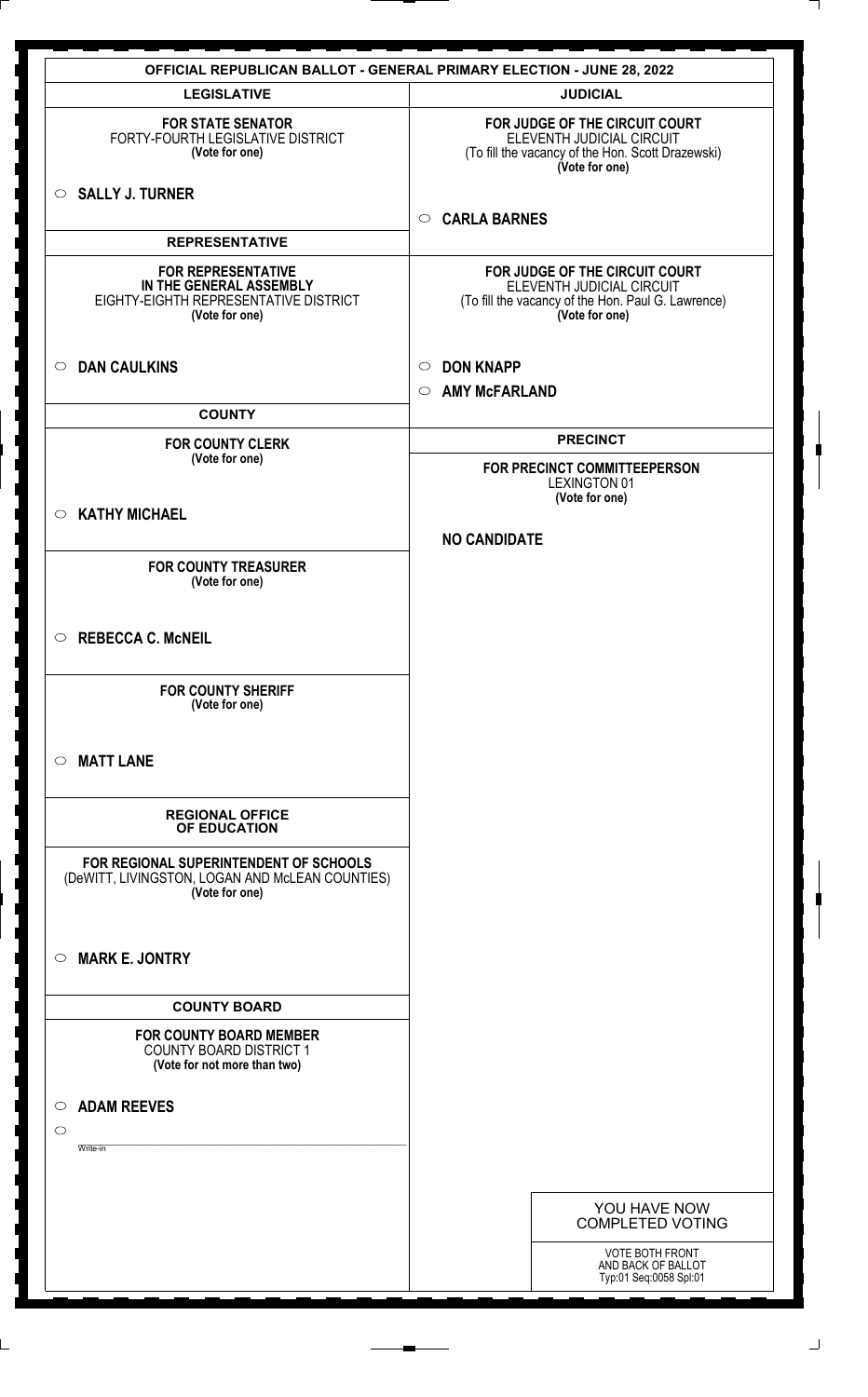|                                                                                                                 | <b>OFFICIAL REPUBLICAN BALLOT - GENERAL PRIMARY ELECTION - JUNE 28, 2022</b>                                                        |
|-----------------------------------------------------------------------------------------------------------------|-------------------------------------------------------------------------------------------------------------------------------------|
| <b>LEGISLATIVE</b>                                                                                              | <b>JUDICIAL</b>                                                                                                                     |
| <b>FOR STATE SENATOR</b><br>FORTY-FOURTH LEGISLATIVE DISTRICT<br>(Vote for one)                                 | FOR JUDGE OF THE CIRCUIT COURT<br>ELEVENTH JUDICIAL CIRCUIT<br>(To fill the vacancy of the Hon. Scott Drazewski)<br>(Vote for one)  |
| $\circ$ SALLY J. TURNER                                                                                         | <b>CARLA BARNES</b><br>$\circ$                                                                                                      |
| <b>REPRESENTATIVE</b>                                                                                           |                                                                                                                                     |
| <b>FOR REPRESENTATIVE</b><br>IN THE GENERAL ASSEMBLY<br>EIGHTY-EIGHTH REPRESENTATIVE DISTRICT<br>(Vote for one) | FOR JUDGE OF THE CIRCUIT COURT<br>ELEVENTH JUDICIAL CIRCUIT<br>(To fill the vacancy of the Hon. Paul G. Lawrence)<br>(Vote for one) |
| <b>DAN CAULKINS</b><br>$\circ$                                                                                  | <b>DON KNAPP</b><br>$\circ$                                                                                                         |
| <b>COUNTY</b>                                                                                                   | <b>AMY McFARLAND</b><br>$\circ$                                                                                                     |
| <b>FOR COUNTY CLERK</b>                                                                                         | <b>PRECINCT</b>                                                                                                                     |
| (Vote for one)                                                                                                  | FOR PRECINCT COMMITTEEPERSON<br><b>LEXINGTON 01</b>                                                                                 |
| <b>KATHY MICHAEL</b><br>$\bigcirc$                                                                              | (Vote for one)                                                                                                                      |
|                                                                                                                 | <b>NO CANDIDATE</b>                                                                                                                 |
| <b>FOR COUNTY TREASURER</b>                                                                                     |                                                                                                                                     |
| (Vote for one)                                                                                                  |                                                                                                                                     |
| $\circ$ REBECCA C. McNEIL                                                                                       |                                                                                                                                     |
| <b>FOR COUNTY SHERIFF</b><br>(Vote for one)                                                                     |                                                                                                                                     |
| <b>MATT LANE</b><br>$\circ$                                                                                     |                                                                                                                                     |
| <b>REGIONAL OFFICE</b><br>OF EDUCATION                                                                          |                                                                                                                                     |
| FOR REGIONAL SUPERINTENDENT OF SCHOOLS<br>(DeWITT, LIVINGSTON, LOGAN AND McLEAN COUNTIES)<br>(Vote for one)     |                                                                                                                                     |
| <b>MARK E. JONTRY</b><br>$\circ$                                                                                |                                                                                                                                     |
| <b>COUNTY BOARD</b>                                                                                             |                                                                                                                                     |
| <b>FOR COUNTY BOARD MEMBER</b>                                                                                  |                                                                                                                                     |
| <b>COUNTY BOARD DISTRICT 1</b><br>(Vote for not more than two)                                                  |                                                                                                                                     |
|                                                                                                                 |                                                                                                                                     |
| <b>ADAM REEVES</b><br>$\circ$<br>$\circlearrowright$                                                            |                                                                                                                                     |
| Write-in                                                                                                        |                                                                                                                                     |
|                                                                                                                 |                                                                                                                                     |
|                                                                                                                 | YOU HAVE NOW<br><b>COMPLETED VOTING</b>                                                                                             |
|                                                                                                                 | VOTE BOTH FRONT<br>AND BACK OF BALLOT<br>Typ:01 Seq:0058 Spl:01                                                                     |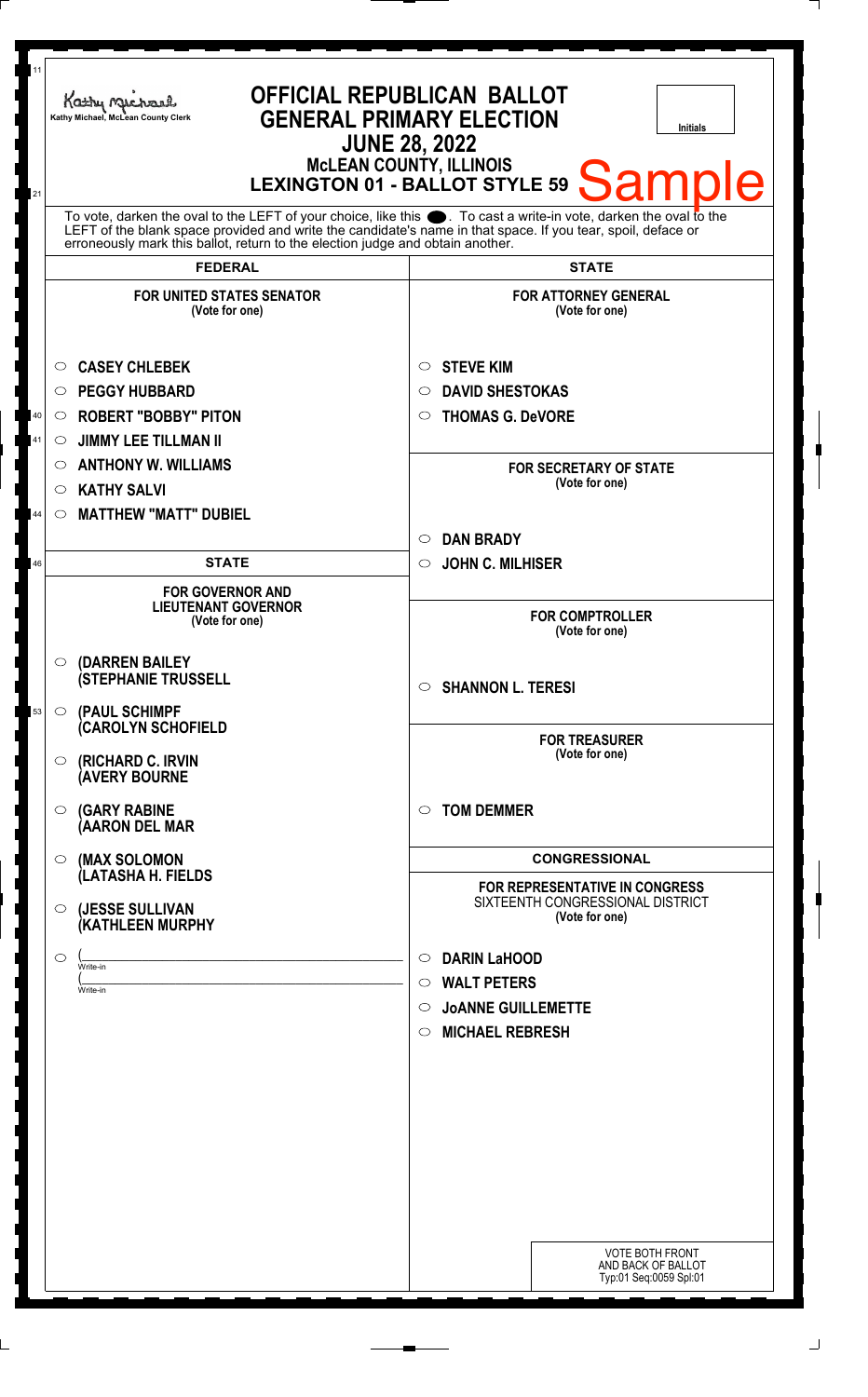| 11<br>21 | Kathy Michael<br>Kathy Michael, McLean County Clerk                                                                                                                                                                                                                                                                    | <b>OFFICIAL REPUBLICAN BALLOT</b><br><b>GENERAL PRIMARY ELECTION</b><br><b>Initials</b><br><b>JUNE 28, 2022</b><br>MCLEAN COUNTY, ILLINOIS<br>LEXINGTON 01 - BALLOT STYLE 59 Sample |
|----------|------------------------------------------------------------------------------------------------------------------------------------------------------------------------------------------------------------------------------------------------------------------------------------------------------------------------|-------------------------------------------------------------------------------------------------------------------------------------------------------------------------------------|
|          | To vote, darken the oval to the LEFT of your choice, like this $\bullet$ . To cast a write-in vote, darken the oval to the LEFT of the blank space provided and write the candidate's name in that space. If you tear, spoil, deface<br>erroneously mark this ballot, return to the election judge and obtain another. |                                                                                                                                                                                     |
|          | <b>FEDERAL</b>                                                                                                                                                                                                                                                                                                         | <b>STATE</b>                                                                                                                                                                        |
|          | <b>FOR UNITED STATES SENATOR</b><br>(Vote for one)                                                                                                                                                                                                                                                                     | <b>FOR ATTORNEY GENERAL</b><br>(Vote for one)                                                                                                                                       |
|          | <b>CASEY CHLEBEK</b><br>$\circ$                                                                                                                                                                                                                                                                                        | <b>STEVE KIM</b><br>O                                                                                                                                                               |
|          | <b>PEGGY HUBBARD</b><br>$\circ$                                                                                                                                                                                                                                                                                        | <b>DAVID SHESTOKAS</b><br>O                                                                                                                                                         |
| $40\,$   | <b>ROBERT "BOBBY" PITON</b><br>$\circ$                                                                                                                                                                                                                                                                                 | <b>THOMAS G. DeVORE</b><br>O                                                                                                                                                        |
| 41       | <b>JIMMY LEE TILLMAN II</b><br>◯                                                                                                                                                                                                                                                                                       |                                                                                                                                                                                     |
|          | <b>ANTHONY W. WILLIAMS</b><br>$\circ$                                                                                                                                                                                                                                                                                  | <b>FOR SECRETARY OF STATE</b>                                                                                                                                                       |
|          | <b>KATHY SALVI</b><br>O                                                                                                                                                                                                                                                                                                | (Vote for one)                                                                                                                                                                      |
| 44       | <b>MATTHEW "MATT" DUBIEL</b><br>$\circ$                                                                                                                                                                                                                                                                                |                                                                                                                                                                                     |
|          |                                                                                                                                                                                                                                                                                                                        | <b>DAN BRADY</b><br>$\circlearrowright$                                                                                                                                             |
| 46       | <b>STATE</b>                                                                                                                                                                                                                                                                                                           | <b>JOHN C. MILHISER</b><br>$\circ$                                                                                                                                                  |
|          | <b>FOR GOVERNOR AND</b><br><b>LIEUTENANT GOVERNOR</b><br>(Vote for one)                                                                                                                                                                                                                                                | <b>FOR COMPTROLLER</b><br>(Vote for one)                                                                                                                                            |
| 53       | <b>(DARREN BAILEY</b><br>$\circ$<br><b>(STEPHANIE TRUSSELL</b><br>$\circ$ (PAUL SCHIMPF                                                                                                                                                                                                                                | $\circ$ SHANNON L. TERESI                                                                                                                                                           |
|          | <b>(CAROLYN SCHOFIELD</b>                                                                                                                                                                                                                                                                                              |                                                                                                                                                                                     |
|          | $\circ$ (RICHARD C. IRVIN<br><b>(AVERY BOURNE</b>                                                                                                                                                                                                                                                                      | <b>FOR TREASURER</b><br>(Vote for one)                                                                                                                                              |
|          | <b>(GARY RABINE</b><br>$\circ$<br>(AARON DEL MAR                                                                                                                                                                                                                                                                       | <b>TOM DEMMER</b><br>◯                                                                                                                                                              |
|          | $\circ$ (MAX SOLOMON<br>(LATASHA H. FIELDS                                                                                                                                                                                                                                                                             | <b>CONGRESSIONAL</b>                                                                                                                                                                |
|          | (JESSE SULLIVAN<br>$\circ$<br><b>(KATHLEEN MURPHY</b>                                                                                                                                                                                                                                                                  | <b>FOR REPRESENTATIVE IN CONGRESS</b><br>SIXTEENTH CONGRESSIONAL DISTRICT<br>(Vote for one)                                                                                         |
|          | $\circ$                                                                                                                                                                                                                                                                                                                | <b>DARIN LaHOOD</b><br>$\circ$                                                                                                                                                      |
|          | Write-in                                                                                                                                                                                                                                                                                                               | $\circ$ WALT PETERS                                                                                                                                                                 |
|          | Write-in                                                                                                                                                                                                                                                                                                               | <b>JOANNE GUILLEMETTE</b><br>$\circ$                                                                                                                                                |
|          |                                                                                                                                                                                                                                                                                                                        | <b>MICHAEL REBRESH</b><br>$\circ$                                                                                                                                                   |
|          |                                                                                                                                                                                                                                                                                                                        |                                                                                                                                                                                     |
|          |                                                                                                                                                                                                                                                                                                                        |                                                                                                                                                                                     |
|          |                                                                                                                                                                                                                                                                                                                        |                                                                                                                                                                                     |
|          |                                                                                                                                                                                                                                                                                                                        |                                                                                                                                                                                     |
|          |                                                                                                                                                                                                                                                                                                                        |                                                                                                                                                                                     |
|          |                                                                                                                                                                                                                                                                                                                        |                                                                                                                                                                                     |
|          |                                                                                                                                                                                                                                                                                                                        |                                                                                                                                                                                     |
|          |                                                                                                                                                                                                                                                                                                                        |                                                                                                                                                                                     |
|          |                                                                                                                                                                                                                                                                                                                        | <b>VOTE BOTH FRONT</b><br>AND BACK OF BALLOT<br>Typ:01 Seq:0059 Spl:01                                                                                                              |